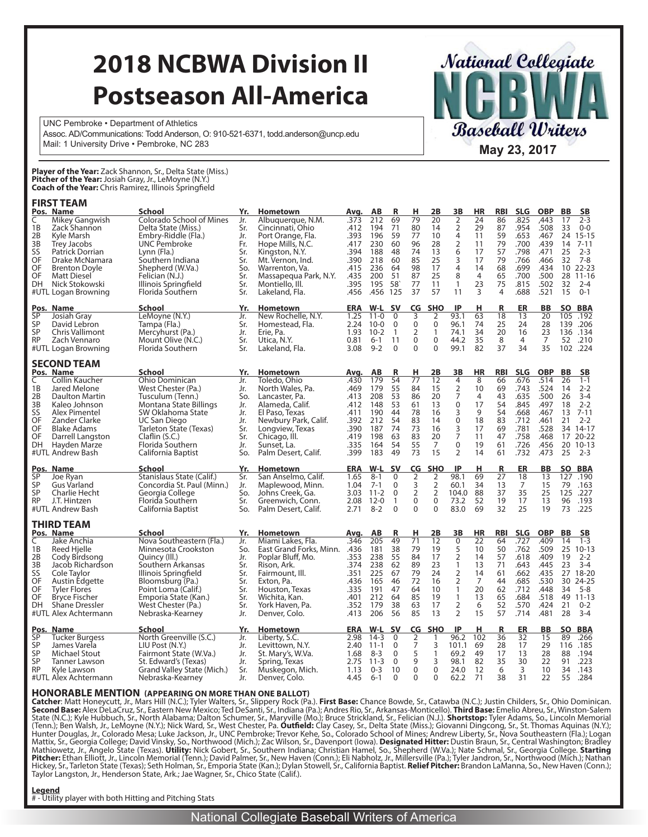# **2018 NCBWA Division II Postseason All-America**

UNC Pembroke • Department of Athletics Assoc. AD/Communications: Todd Anderson, O: 910-521-6371, todd.anderson@uncp.edu Mail: 1 University Drive • Pembroke, NC 283 **May 23, 2017** 

**Player of the Year:** Zack Shannon, Sr., Delta State (Miss.) **Pitcher of the Year:** Josiah Gray, Jr., LeMoyne (N.Y.) **Coach of the Year:** Chris Ramirez, Illinois Springfield

#### **FIRST TEAM**

|           | Pos. Name              | School                     | Yr. | <b>Hometown</b>         | <u>Avq.</u> | AB       | <u>R</u>       | <u>н</u>        | 2B             | 3B                                         | <u>HR</u>      | <b>RBI</b> | <b>SLG</b>      | <b>OBP</b> | <b>BB</b> | <b>SB</b>  |
|-----------|------------------------|----------------------------|-----|-------------------------|-------------|----------|----------------|-----------------|----------------|--------------------------------------------|----------------|------------|-----------------|------------|-----------|------------|
| C         | Mikey Gangwish         | Colorado School of Mines   | Jr. | Albuquerque, N.M.       | .373        | 212      | 69             | 79              | 20             | 2                                          | 24             | 86         | .825            | ,443       | 17        | $2 - 3$    |
| 1B        | Zack Shannon           | Delta State (Miss.)        | Sr. | Cincinnati, Ohio        | .412        | 194      | 71             | 80              | 14             | 2                                          | 29             | 87         | .954            | .508       | 33        | $0-0$      |
| 2B        | Kyle Marsh             | Embry-Riddle (Fla.)        | Jr. | Port Orange, Fla.       | .393        | 196      | 59             | 77              | 10             | 4                                          | 11             | 59         | .653            | .467       | 24        | $15 - 15$  |
| 3B        | Trey Jacobs            | UNC Pembroke               | Fr. | Hope Mills, N.C.        | .417        | 230      | 60             | 96              | 28             | $\overline{2}$                             | 11             | 79         | .700            | .439       | 14        | $7 - 11$   |
| SS        | Patrick Dorrian        | Lynn (Fla.)                | Sr. | Kingston, N.Y.          | .394        | 188      | 48             | 74              | 13             | 6                                          | 17             | 57         | .798            | .471       | 25        | $2 - 3$    |
| OF        | Drake McNamara         | Southern Indiana           | Sr. | Mt. Vernon, Ind.        | .390        | 218      | 60             | 85              | 25             | 3                                          | 17             | 79         | .766            | .466       | 32        | $7 - 8$    |
| OF        | <b>Brenton Doyle</b>   | Shepherd (W.Va.)           | So. | Warrenton, Va.          | .415        | 236      | 64             | 98              | 17             | $\overline{4}$                             | 14             | 68         | .699            | .434       | 10        | $22 - 23$  |
| OF        | <b>Matt Diesel</b>     | Felician (N.J.)            | Sr. | Massapegua Park, N.Y.   | .435        | 200      | 51             | 87              | 25             | 8                                          | $\overline{4}$ | 65         | .700            | .500       |           | 28 11-16   |
| DH        | Nick Stokowski         | Illinois Springfield       | Sr. | Montiello, Ill.         | .395        | 195      | 58             | 77              | 11             | $\mathbf{1}$                               | 23             | 75         | .815            | .502       | 32        | $2 - 4$    |
|           | #UTL Logan Browning    | Florida Southern           | Sr. | Lakeland, Fla.          | .456        | .456 125 |                | 37              | 57             | 11                                         | 3              | 4          | .688            | .521       | 15        | $0 - 1$    |
| Pos.      | Name                   | <b>School</b>              | Yr. | Hometown                | <b>ERA</b>  | W-L      | <b>SV</b>      | CG              | <b>SHO</b>     | IP                                         | н              | R          | ER              | BB         | <b>SO</b> | <b>BBA</b> |
| <b>SP</b> | Josiah Gray            | LeMoyne (N.Y.)             | Jr. | New Rochelle, N.Y.      | 1.25        | $11 - 0$ | $\mathbf{0}$   | 3               | 2              | 93.1                                       | 63             | 18         | 13              | 20         | 105       | .192       |
| SP        | David Lebron           | Tampa (Fla.)               | Sr. | Homestead, Fla.         | 2.24        | 10-0     | 0              | $\mathbf 0$     | $\mathbf 0$    | 96.1                                       | 74             | 25         | 24              | 28         |           | 139 .206   |
| <b>SP</b> | <b>Chris Vallimont</b> | Mercyhurst (Pa.)           | Jr. | Erie, Pa.               | 1.93        | $10 - 2$ | $\overline{1}$ | $\overline{2}$  | $\mathbf{1}$   | 74.1                                       | 34             | 20         | 16              | 23         |           | 136 .134   |
| <b>RP</b> | Zach Vennaro           | Mount Olive (N.C.)         | Sr. | Utica, N.Y.             | 0.81        | $6 - 1$  | 11             | $\Omega$        | $\mathbf 0$    | 44.2                                       | 35             | 8          | 4               | 7          | 52        | .210       |
|           | #UTL Logan Browning    | Florida Southern           | Sr. | Lakeland, Fla.          | 3.08        | $9 - 2$  | $\Omega$       | $\mathbf{0}$    | $\mathbf 0$    | 99.1                                       | 82             | 37         | 34              | 35         |           | 102.224    |
|           | <b>SECOND TEAM</b>     |                            |     |                         |             |          |                |                 |                |                                            |                |            |                 |            |           |            |
|           | Pos. Name              | <b>School</b>              | Yr. | <b>Hometown</b>         | Avg.        | AB       | R              | н               | 2B             | 3В                                         | HR             | <b>RBI</b> | <b>SLG</b>      | <b>OBP</b> | <b>BB</b> | SΒ         |
| C         | Collin Kaucher         | <b>Ohio Dominican</b>      | Jr. | Toledo, Ohio            | .430        | 179      | 54             | $\overline{77}$ | 12             | 4                                          | 8              | 66         | .676            | .514       | 26        | $1 - 1$    |
| 1B        | Jared Melone           | West Chester (Pa.)         | Jr. | North Wales, Pa.        | .469        | 179      | 55             | 84              | 15             | $\overline{2}$                             | 10             | 69         | .743            | .524       | 14        | $2 - 2$    |
| 2B        | <b>Daulton Martin</b>  | Tusculum (Tenn.)           | So. | Lancaster, Pa.          | .413        | 208      | 53             | 86              | 20             | $\overline{7}$                             | $\overline{4}$ | 43         | .635            | .500       | 26        | $3 - 4$    |
| 3B        | Kaleo Johnson          | Montana State Billings     | Jr. | Alameda, Calif.         | .412        | 148      | 53             | 61              | 13             | $\mathsf 0$                                | 17             | 54         | .845            | .497       | 18        | $2 - 2$    |
| SS        | Alex Pimentel          | SW Oklahoma State          | Jr. | El Paso, Texas          | .411        | 190      | 44             | 78              | 16             | 3                                          | 9              | 54         | .668            | .467       | 13        | $7 - 11$   |
| OF        | Zander Clarke          | UC San Diego               | Jr. | Newbury Park, Calif.    | .392        | 212      | 54             | 83              | 14             | $\mathsf 0$                                | 18             | 83         | .712            | .461       | 21        | $2 - 2$    |
| OF        | <b>Blake Adams</b>     | Tarleton State (Texas)     | Sr. | Longview, Texas         | .390        | 187      | 74             | 73              | 16             | $\frac{3}{7}$                              | 17             | 69         | .781            | .528       | 34        | $14 - 17$  |
| OF        | Darrell Langston       | Claflin(S.C.)              | Sr. | Chicago, Ill.           | .419        | 198      | 63             | 83              | 20             |                                            | 11             | 47         | .758            | .468       | 17        | $20 - 22$  |
| DH        | Hayden Marze           | Florida Southern           | Jr. | Sunset, La.             | .335        | 164      | 54             | 55              | 7              | 0                                          | 19             | 61         | .726            | .456       | 20        | $10 - 13$  |
|           | #UTL Andrew Bash       | California Baptist         | So. | Palm Desert, Calif.     | .399        | 183      | 49             | 73              | 15             | $\overline{2}$                             | 14             | 61         | .732            | .473       | 25        | $2 - 3$    |
|           | Pos. Name              | <b>School</b>              | Yr. | Hometown                | <b>ERA</b>  | W-L      | <b>SV</b>      | CG              | <b>SHO</b>     | IP                                         | н              | R          | ER              | BB         | SO.       | BBA        |
| <b>SP</b> | Joe Ryan               | Stanislaus State (Calif.)  | Sr. | San Anselmo, Calif.     | 1.65        | $8 - 1$  | 0              | 2               | 2              | 98.1                                       | 69             | 27         | 18              | 13         | 127       | .190       |
| SP        | Gus Varland            | Concordia St. Paul (Minn.) | Jr. | Maplewood, Minn.        | 1.04        | $7-1$    | 0              | 3               | $\overline{2}$ | 60.1                                       | 34             | 13         | $\overline{7}$  | 15         | 79        | .163       |
| SP        | Charlie Hecht          | Georgia College            | So. | Johns Creek, Ga.        | 3.03        | $11 - 2$ | 0              | $\overline{2}$  | $\overline{2}$ | 104.0                                      | 88             | 37         | 35              | 25         | 125       | .227       |
| <b>RP</b> | J.T. Hintzen           | Florida Southern           | Sr. | Greenwich, Conn.        | 2.08        | 12-0     | $\mathbf{1}$   | $\mathbf 0$     | $\pmb{0}$      | 73.2                                       | 52             | 19         | 17              | 13         | 96        | .193       |
|           | #UTL Andrew Bash       | California Baptist         | So. | Palm Desert, Calif.     | 2.71        | $8 - 2$  | $\Omega$       | $\mathbf{0}$    | $\Omega$       | 83.0                                       | 69             | 32         | 25              | 19         | 73        | .225       |
|           | <b>THIRD TEAM</b>      |                            |     |                         |             |          |                |                 |                |                                            |                |            |                 |            |           |            |
|           | Pos. Name              | <b>School</b>              | Yr. | <b>Hometown</b>         | Avg.        | AB       | R              | н               | 2B             | 3В                                         | HR             | <b>RBI</b> | <b>SLG</b>      | <b>OBP</b> | BB        | <b>SB</b>  |
| C         | Jake Anchia            | Nova Southeastern (Fla.)   | Jr. | Miami Lakes, Fla.       | .346        | 205      | 49             | 71              | 12             | $\mathbf 0$                                | 22             | 64         | .727            | .409       | 14        | $1 - 3$    |
| 1B        | Reed Hjelle            | Minnesota Crookston        | So. | East Grand Forks, Minn. | .436        | 181      | 38             | 79              | 19             |                                            | 10             | 50         | .762            | .509       | 25        | $10 - 13$  |
| 2B        | Cody Birdsong          | Quincy (III.)              | Jr. | Poplar Bluff, Mo.       | .353        | 238      | 55             | 84              | 17             | $\begin{array}{c} 5 \\ 2 \\ 1 \end{array}$ | 14             | 57         | .618            | .409       | 19        | $2 - 2$    |
| 3B        | Jacob Richardson       | Southern Arkansas          | Sr. | Rison, Ark.             | .374        | 238      | 62             | 89              | 23             |                                            | 13             | 71         | .643            | .445       | 23        | $3 - 4$    |
| SS        | Cole Taylor            | Illinois Springfield       | Sr. | Fairmount, Ill.         | .351        | 225      | 67             | 79              | 24             | $\overline{2}$                             | 14             | 61         | .662            | .435       | 27        | 18-20      |
| OF        | Austin Edgette         | Bloomsburg (Pa.)           | Sr. | Exton, Pa.              | .436        | 165      | 46             | 72              | 16             | $\overline{2}$                             | $\overline{7}$ | 44         | .685            | .530       | 30        | $24 - 25$  |
| OF        | <b>Tyler Flores</b>    | Point Loma (Calif.)        | Sr. | Houston, Texas          | .335        | 191      | 47             | 64              | 10             | $\mathbf{1}$                               | 20             | 62         | .712            | .448       | 34        | $5 - 8$    |
| OF        | <b>Bryce Fischer</b>   | Emporia State (Kan.)       | Sr. | Wichita, Kan.           | .401        | 212      | 64             | 85              | 19             | $\mathbf{1}$                               | 13             | 65         | .684            | .518       | 49        | $11 - 13$  |
| DH        | <b>Shane Dressler</b>  | West Chester (Pa.)         | Sr. | York Haven, Pa.         | .352        | 179      | 38             | 63              | 17             | $\overline{2}$                             | 6              | 52         | .570            | .424       | 21        | $0 - 2$    |
|           | #UTL Alex Achtermann   | Nebraska-Kearney           | Jr. | Denver, Colo.           | .413        | 206      | 56             | 85              | 13             | $\overline{2}$                             | 15             | 57         | .714            | .481       | 28        | $3 - 4$    |
|           | Pos. Name              | <b>School</b>              | Yr. | <b>Hometown</b>         | <b>ERA</b>  | W-L      | <b>SV</b>      | CG              | <b>SHO</b>     | IP                                         | н              | R          | ER              | BB         | <b>SO</b> | <b>BBA</b> |
| <b>SP</b> | <b>Tucker Burgess</b>  | North Greenville (S.C.)    | Jr. | Liberty, S.C.           | 2.98        | $14 - 3$ | $\Omega$       | 2               | 1              | 96.2                                       | 102            | 36         | $\overline{32}$ | 15         | 89        | .266       |
| SP        | James Varela           | LIU Post (N.Y.)            | Jr. | Levittown, N.Y.         | 2.40        | $11 - 1$ | 0              | 7               | 3              | 101.1                                      | 69             | 28         | 17              | 29         | 116       | .185       |
| SP        | <b>Michael Stout</b>   | Fairmont State (W.Va.)     | Jr. | St. Mary's, W.Va.       | 1.68        | $8-3$    | $\mathbf 0$    | 5               | $\mathbf{1}$   | 69.2                                       | 49             | 17         | 13              | 28         | 88        | .194       |
| SP        | Tanner Lawson          | St. Edward's (Texas)       | Jr. | Spring, Texas           | 2.75        | $11 - 3$ | $\Omega$       | 9               | $\overline{3}$ | 98.1                                       | 82             | 35         | 30              | 22         | 91        | .223       |
| <b>RP</b> | Kyle Lawson            | Grand Valley State (Mich.) | Sr. | Muskegon, Mich.         | 1.13        | $0 - 3$  | 10             | $\overline{0}$  | $\overline{0}$ | 24.0                                       | 12             | 6          | 3               | 10         | 34        | .143       |
|           | #UTL Alex Achtermann   | Nebraska-Kearney           | Jr. | Denver, Colo.           | 4.45        | $6 - 1$  | $\Omega$       | $\Omega$        | $\Omega$       | 62.2                                       | 71             | 38         | 31              | 22         | 55        | .284       |

**National Collegiate** 

Baseball Writers

#### **HONORABLE MENTION (APPEARING ON MORE THAN ONE BALLOT)**

**Catcher**: Matt Honeycutt, Jr., Mars Hill (N.C.); Tyler Walters, Sr., Slippery Rock (Pa.). **First Base:** Chance Bowde, Sr., Catawba (N.C.); Justin Childers, Sr., Ohio Dominican.<br>**Second Base:** Alex DeLaCruz, Sr., Bastern N Mattix, Sr., Georgia College; David Vinsky, So., Northwood (Mich.); Zac Wilson, Sr., Davenport (Iowa). **Designated Hitter:** Dustin Braun, Sr., Central Washington; Bradley<br>Mathiowetz, Jr., Angelo State (Texas). **Utility:** N Hickey, Sr., Tarleton State (Texas); Seth Holman, Sr., Emporia State (Kan.); Dylan Stowell, Sr., California Baptist. **Relief Pitcher:** Brandon LaManna, So., New Haven (Conn.); Taylor Langston, Jr., Henderson State, Ark.; Jae Wagner, Sr., Chico State (Calif.).

**Legend**

# - Utility player with both Hitting and Pitching Stats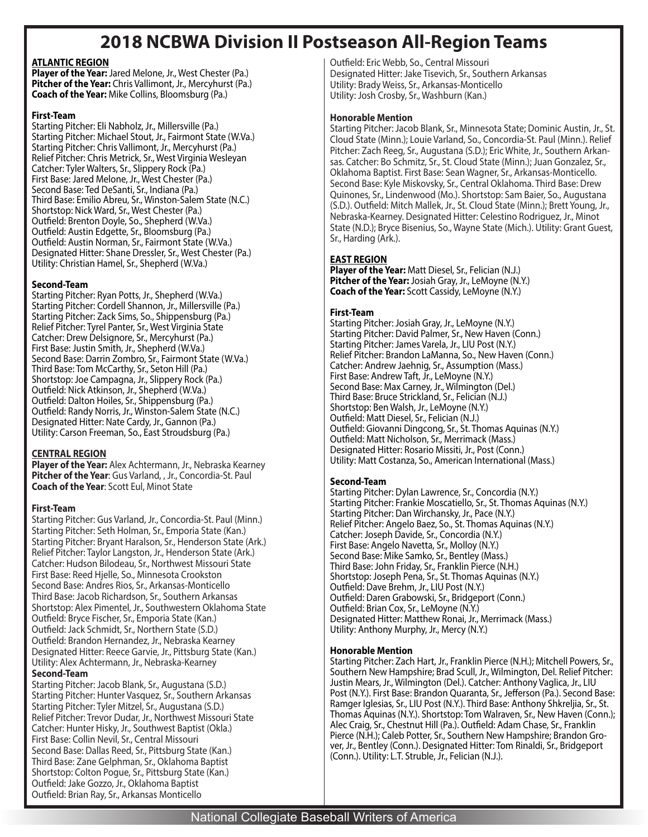# **2018 NCBWA Division II Postseason All-Region Teams**

## **ATLANTIC REGION**

**Player of the Year:** Jared Melone, Jr., West Chester (Pa.) **Pitcher of the Year:** Chris Vallimont, Jr., Mercyhurst (Pa.) **Coach of the Year:** Mike Collins, Bloomsburg (Pa.)

### **First-Team**

Starting Pitcher: Eli Nabholz, Jr., Millersville (Pa.) Starting Pitcher: Michael Stout, Jr., Fairmont State (W.Va.) Starting Pitcher: Chris Vallimont, Jr., Mercyhurst (Pa.) Relief Pitcher: Chris Metrick, Sr., West Virginia Wesleyan Catcher: Tyler Walters, Sr., Slippery Rock (Pa.) First Base: Jared Melone, Jr., West Chester (Pa.) Second Base: Ted DeSanti, Sr., Indiana (Pa.) Third Base: Emilio Abreu, Sr., Winston-Salem State (N.C.) Shortstop: Nick Ward, Sr., West Chester (Pa.) Outfield: Brenton Doyle, So., Shepherd (W.Va.) Outfield: Austin Edgette, Sr., Bloomsburg (Pa.) Outfield: Austin Norman, Sr., Fairmont State (W.Va.) Designated Hitter: Shane Dressler, Sr., West Chester (Pa.) Utility: Christian Hamel, Sr., Shepherd (W.Va.)

## **Second-Team**

Starting Pitcher: Ryan Potts, Jr., Shepherd (W.Va.) Starting Pitcher: Cordell Shannon, Jr., Millersville (Pa.) Starting Pitcher: Zack Sims, So., Shippensburg (Pa.) Relief Pitcher: Tyrel Panter, Sr., West Virginia State Catcher: Drew Delsignore, Sr., Mercyhurst (Pa.) First Base: Justin Smith, Jr., Shepherd (W.Va.) Second Base: Darrin Zombro, Sr., Fairmont State (W.Va.) Third Base: Tom McCarthy, Sr., Seton Hill (Pa.) Shortstop: Joe Campagna, Jr., Slippery Rock (Pa.) Outfield: Nick Atkinson, Jr., Shepherd (W.Va.) Outfield: Dalton Hoiles, Sr., Shippensburg (Pa.) Outfield: Randy Norris, Jr., Winston-Salem State (N.C.) Designated Hitter: Nate Cardy, Jr., Gannon (Pa.) Utility: Carson Freeman, So., East Stroudsburg (Pa.)

# **CENTRAL REGION**

**Player of the Year:** Alex Achtermann, Jr., Nebraska Kearney **Pitcher of the Year**: Gus Varland, , Jr., Concordia-St. Paul **Coach of the Year**: Scott Eul, Minot State

# **First-Team**

Starting Pitcher: Gus Varland, Jr., Concordia-St. Paul (Minn.) Starting Pitcher: Seth Holman, Sr., Emporia State (Kan.) Starting Pitcher: Bryant Haralson, Sr., Henderson State (Ark.) Relief Pitcher: Taylor Langston, Jr., Henderson State (Ark.) Catcher: Hudson Bilodeau, Sr., Northwest Missouri State First Base: Reed Hjelle, So., Minnesota Crookston Second Base: Andres Rios, Sr., Arkansas-Monticello Third Base: Jacob Richardson, Sr., Southern Arkansas Shortstop: Alex Pimentel, Jr., Southwestern Oklahoma State Outfield: Bryce Fischer, Sr., Emporia State (Kan.) Outfield: Jack Schmidt, Sr., Northern State (S.D.) Outfield: Brandon Hernandez, Jr., Nebraska Kearney Designated Hitter: Reece Garvie, Jr., Pittsburg State (Kan.) Utility: Alex Achtermann, Jr., Nebraska-Kearney

# **Second-Team**

Starting Pitcher: Jacob Blank, Sr., Augustana (S.D.) Starting Pitcher: Hunter Vasquez, Sr., Southern Arkansas Starting Pitcher: Tyler Mitzel, Sr., Augustana (S.D.) Relief Pitcher: Trevor Dudar, Jr., Northwest Missouri State Catcher: Hunter Hisky, Jr., Southwest Baptist (Okla.) First Base: Collin Nevil, Sr., Central Missouri Second Base: Dallas Reed, Sr., Pittsburg State (Kan.) Third Base: Zane Gelphman, Sr., Oklahoma Baptist Shortstop: Colton Pogue, Sr., Pittsburg State (Kan.) Outfield: Jake Gozzo, Jr., Oklahoma Baptist Outfield: Brian Ray, Sr., Arkansas Monticello

Outfield: Eric Webb, So., Central Missouri Designated Hitter: Jake Tisevich, Sr., Southern Arkansas Utility: Brady Weiss, Sr., Arkansas-Monticello Utility: Josh Crosby, Sr., Washburn (Kan.)

#### **Honorable Mention**

Starting Pitcher: Jacob Blank, Sr., Minnesota State; Dominic Austin, Jr., St. Cloud State (Minn.); Louie Varland, So., Concordia-St. Paul (Minn.). Relief Pitcher: Zach Reeg, Sr., Augustana (S.D.); Eric White, Jr., Southern Arkansas. Catcher: Bo Schmitz, Sr., St. Cloud State (Minn.); Juan Gonzalez, Sr., Oklahoma Baptist. First Base: Sean Wagner, Sr., Arkansas-Monticello. Second Base: Kyle Miskovsky, Sr., Central Oklahoma. Third Base: Drew Quinones, Sr., Lindenwood (Mo.). Shortstop: Sam Baier, So., Augustana (S.D.). Outfield: Mitch Mallek, Jr., St. Cloud State (Minn.); Brett Young, Jr., Nebraska-Kearney. Designated Hitter: Celestino Rodriguez, Jr., Minot State (N.D.); Bryce Bisenius, So., Wayne State (Mich.). Utility: Grant Guest, Sr., Harding (Ark.).

# **EAST REGION**

**Player of the Year:** Matt Diesel, Sr., Felician (N.J.) **Pitcher of the Year:** Josiah Gray, Jr., LeMoyne (N.Y.) **Coach of the Year:** Scott Cassidy, LeMoyne (N.Y.)

## **First-Team**

Starting Pitcher: Josiah Gray, Jr., LeMoyne (N.Y.) Starting Pitcher: David Palmer, Sr., New Haven (Conn.) Starting Pitcher: James Varela, Jr., LIU Post (N.Y.) Relief Pitcher: Brandon LaManna, So., New Haven (Conn.) Catcher: Andrew Jaehnig, Sr., Assumption (Mass.) First Base: Andrew Taft, Jr., LeMoyne (N.Y.) Second Base: Max Carney, Jr., Wilmington (Del.) Third Base: Bruce Strickland, Sr., Felician (N.J.) Shortstop: Ben Walsh, Jr., LeMoyne (N.Y.) Outfield: Matt Diesel, Sr., Felician (N.J.) Outfield: Giovanni Dingcong, Sr., St. Thomas Aquinas (N.Y.) Outfield: Matt Nicholson, Sr., Merrimack (Mass.) Designated Hitter: Rosario Missiti, Jr., Post (Conn.) Utility: Matt Costanza, So., American International (Mass.)

#### **Second-Team**

Starting Pitcher: Dylan Lawrence, Sr., Concordia (N.Y.) Starting Pitcher: Frankie Moscatiello, Sr., St. Thomas Aquinas (N.Y.) Starting Pitcher: Dan Wirchansky, Jr., Pace (N.Y.) Relief Pitcher: Angelo Baez, So., St. Thomas Aquinas (N.Y.) Catcher: Joseph Davide, Sr., Concordia (N.Y.) First Base: Angelo Navetta, Sr., Molloy (N.Y.) Second Base: Mike Samko, Sr., Bentley (Mass.) Third Base: John Friday, Sr., Franklin Pierce (N.H.) Shortstop: Joseph Pena, Sr., St. Thomas Aquinas (N.Y.) Outfield: Dave Brehm, Jr., LIU Post (N.Y.) Outfield: Daren Grabowski, Sr., Bridgeport (Conn.) Outfield: Brian Cox, Sr., LeMoyne (N.Y.) Designated Hitter: Matthew Ronai, Jr., Merrimack (Mass.) Utility: Anthony Murphy, Jr., Mercy (N.Y.)

#### **Honorable Mention**

Starting Pitcher: Zach Hart, Jr., Franklin Pierce (N.H.); Mitchell Powers, Sr., Southern New Hampshire; Brad Scull, Jr., Wilmington, Del. Relief Pitcher: Justin Mears, Jr., Wilmington (Del.). Catcher: Anthony Vaglica, Jr., LIU Post (N.Y.). First Base: Brandon Quaranta, Sr., Jefferson (Pa.). Second Base: Ramger Iglesias, Sr., LIU Post (N.Y.). Third Base: Anthony Shkreljia, Sr., St. Thomas Aquinas (N.Y.). Shortstop: Tom Walraven, Sr., New Haven (Conn.); Alec Craig, Sr., Chestnut Hill (Pa.). Outfield: Adam Chase, Sr., Franklin Pierce (N.H.); Caleb Potter, Sr., Southern New Hampshire; Brandon Grover, Jr., Bentley (Conn.). Designated Hitter: Tom Rinaldi, Sr., Bridgeport (Conn.). Utility: L.T. Struble, Jr., Felician (N.J.).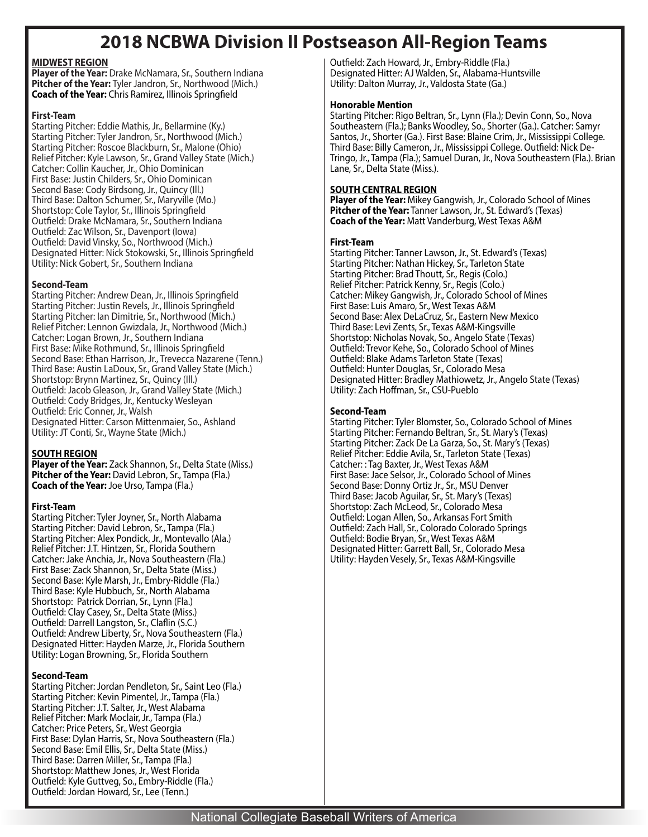# **2018 NCBWA Division II Postseason All-Region Teams**

#### **MIDWEST REGION**

**Player of the Year:** Drake McNamara, Sr., Southern Indiana **Pitcher of the Year:** Tyler Jandron, Sr., Northwood (Mich.) **Coach of the Year:** Chris Ramirez, Illinois Springfield

#### **First-Team**

Starting Pitcher: Eddie Mathis, Jr., Bellarmine (Ky.) Starting Pitcher: Tyler Jandron, Sr., Northwood (Mich.) Starting Pitcher: Roscoe Blackburn, Sr., Malone (Ohio) Relief Pitcher: Kyle Lawson, Sr., Grand Valley State (Mich.) Catcher: Collin Kaucher, Jr., Ohio Dominican First Base: Justin Childers, Sr., Ohio Dominican Second Base: Cody Birdsong, Jr., Quincy (Ill.) Third Base: Dalton Schumer, Sr., Maryville (Mo.) Shortstop: Cole Taylor, Sr., Illinois Springfield Outfield: Drake McNamara, Sr., Southern Indiana Outfield: Zac Wilson, Sr., Davenport (Iowa) Outfield: David Vinsky, So., Northwood (Mich.) Designated Hitter: Nick Stokowski, Sr., Illinois Springfield Utility: Nick Gobert, Sr., Southern Indiana

#### **Second-Team**

Starting Pitcher: Andrew Dean, Jr., Illinois Springfield Starting Pitcher: Justin Revels, Jr., Illinois Springfield Starting Pitcher: Ian Dimitrie, Sr., Northwood (Mich.) Relief Pitcher: Lennon Gwizdala, Jr., Northwood (Mich.) Catcher: Logan Brown, Jr., Southern Indiana First Base: Mike Rothmund, Sr., Illinois Springfield Second Base: Ethan Harrison, Jr., Trevecca Nazarene (Tenn.) Third Base: Austin LaDoux, Sr., Grand Valley State (Mich.) Shortstop: Brynn Martinez, Sr., Quincy (Ill.) Outfield: Jacob Gleason, Jr., Grand Valley State (Mich.) Outfield: Cody Bridges, Jr., Kentucky Wesleyan Outfield: Eric Conner, Jr., Walsh Designated Hitter: Carson Mittenmaier, So., Ashland Utility: JT Conti, Sr., Wayne State (Mich.)

# **SOUTH REGION**

**Player of the Year:** Zack Shannon, Sr., Delta State (Miss.) **Pitcher of the Year:** David Lebron, Sr., Tampa (Fla.) **Coach of the Year:** Joe Urso, Tampa (Fla.)

#### **First-Team**

Starting Pitcher: Tyler Joyner, Sr., North Alabama Starting Pitcher: David Lebron, Sr., Tampa (Fla.) Starting Pitcher: Alex Pondick, Jr., Montevallo (Ala.) Relief Pitcher: J.T. Hintzen, Sr., Florida Southern Catcher: Jake Anchia, Jr., Nova Southeastern (Fla.) First Base: Zack Shannon, Sr., Delta State (Miss.) Second Base: Kyle Marsh, Jr., Embry-Riddle (Fla.) Third Base: Kyle Hubbuch, Sr., North Alabama Shortstop: Patrick Dorrian, Sr., Lynn (Fla.) Outfield: Clay Casey, Sr., Delta State (Miss.) Outfield: Darrell Langston, Sr., Claflin (S.C.) Outfield: Andrew Liberty, Sr., Nova Southeastern (Fla.) Designated Hitter: Hayden Marze, Jr., Florida Southern Utility: Logan Browning, Sr., Florida Southern

#### **Second-Team**

Starting Pitcher: Jordan Pendleton, Sr., Saint Leo (Fla.) Starting Pitcher: Kevin Pimentel, Jr., Tampa (Fla.) Starting Pitcher: J.T. Salter, Jr., West Alabama Relief Pitcher: Mark Moclair, Jr., Tampa (Fla.) Catcher: Price Peters, Sr., West Georgia First Base: Dylan Harris, Sr., Nova Southeastern (Fla.) Second Base: Emil Ellis, Sr., Delta State (Miss.) Third Base: Darren Miller, Sr., Tampa (Fla.) Shortstop: Matthew Jones, Jr., West Florida Outfield: Kyle Guttveg, So., Embry-Riddle (Fla.) Outfield: Jordan Howard, Sr., Lee (Tenn.)

Outfield: Zach Howard, Jr., Embry-Riddle (Fla.) Designated Hitter: AJ Walden, Sr., Alabama-Huntsville Utility: Dalton Murray, Jr., Valdosta State (Ga.)

#### **Honorable Mention**

Starting Pitcher: Rigo Beltran, Sr., Lynn (Fla.); Devin Conn, So., Nova Southeastern (Fla.); Banks Woodley, So., Shorter (Ga.). Catcher: Samyr Santos, Jr., Shorter (Ga.). First Base: Blaine Crim, Jr., Mississippi College. Third Base: Billy Cameron, Jr., Mississippi College. Outfield: Nick De-Tringo, Jr., Tampa (Fla.); Samuel Duran, Jr., Nova Southeastern (Fla.). Brian Lane, Sr., Delta State (Miss.).

## **SOUTH CENTRAL REGION**

**Player of the Year:** Mikey Gangwish, Jr., Colorado School of Mines **Pitcher of the Year:** Tanner Lawson, Jr., St. Edward's (Texas) **Coach of the Year:** Matt Vanderburg, West Texas A&M

#### **First-Team**

Starting Pitcher: Tanner Lawson, Jr., St. Edward's (Texas) Starting Pitcher: Nathan Hickey, Sr., Tarleton State Starting Pitcher: Brad Thoutt, Sr., Regis (Colo.) Relief Pitcher: Patrick Kenny, Sr., Regis (Colo.) Catcher: Mikey Gangwish, Jr., Colorado School of Mines First Base: Luis Amaro, Sr., West Texas A&M Second Base: Alex DeLaCruz, Sr., Eastern New Mexico Third Base: Levi Zents, Sr., Texas A&M-Kingsville Shortstop: Nicholas Novak, So., Angelo State (Texas) Outfield: Trevor Kehe, So., Colorado School of Mines Outfield: Blake Adams Tarleton State (Texas) Outfield: Hunter Douglas, Sr., Colorado Mesa Designated Hitter: Bradley Mathiowetz, Jr., Angelo State (Texas) Utility: Zach Hoffman, Sr., CSU-Pueblo

#### **Second-Team**

Starting Pitcher: Tyler Blomster, So., Colorado School of Mines Starting Pitcher: Fernando Beltran, Sr., St. Mary's (Texas) Starting Pitcher: Zack De La Garza, So., St. Mary's (Texas) Relief Pitcher: Eddie Avila, Sr., Tarleton State (Texas) Catcher: : Tag Baxter, Jr., West Texas A&M First Base: Jace Selsor, Jr., Colorado School of Mines Second Base: Donny Ortiz Jr., Sr., MSU Denver Third Base: Jacob Aguilar, Sr., St. Mary's (Texas) Shortstop: Zach McLeod, Sr., Colorado Mesa Outfield: Logan Allen, So., Arkansas Fort Smith Outfield: Zach Hall, Sr., Colorado Colorado Springs Outfield: Bodie Bryan, Sr., West Texas A&M Designated Hitter: Garrett Ball, Sr., Colorado Mesa Utility: Hayden Vesely, Sr., Texas A&M-Kingsville